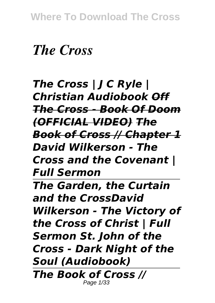# *The Cross*

*The Cross | J C Ryle | Christian Audiobook Off The Cross - Book Of Doom (OFFICIAL VIDEO) The Book of Cross // Chapter 1 David Wilkerson - The Cross and the Covenant | Full Sermon The Garden, the Curtain and the CrossDavid Wilkerson - The Victory of the Cross of Christ | Full Sermon St. John of the Cross - Dark Night of the Soul (Audiobook) The Book of Cross //* Page 1/33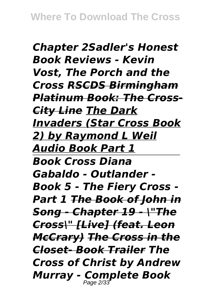*Chapter 2Sadler's Honest Book Reviews - Kevin Vost, The Porch and the Cross RSCDS Birmingham Platinum Book: The Cross-City Line The Dark Invaders (Star Cross Book 2) by Raymond L Weil Audio Book Part 1 Book Cross Diana Gabaldo - Outlander - Book 5 - The Fiery Cross - Part 1 The Book of John in Song - Chapter 19 - \"The Cross\" [Live] (feat. Leon McCrary) The Cross in the Closet- Book Trailer The Cross of Christ by Andrew Murray - Complete Book* Page 2/33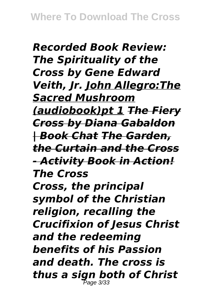*Recorded Book Review: The Spirituality of the Cross by Gene Edward Veith, Jr. John Allegro:The Sacred Mushroom (audiobook)pt 1 The Fiery Cross by Diana Gabaldon | Book Chat The Garden, the Curtain and the Cross - Activity Book in Action! The Cross Cross, the principal symbol of the Christian religion, recalling the Crucifixion of Jesus Christ and the redeeming benefits of his Passion and death. The cross is thus a sign both of Christ*  $P$ age 3/33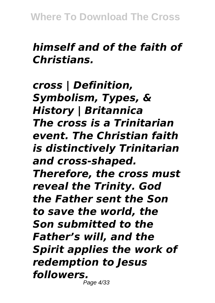### *himself and of the faith of Christians.*

*cross | Definition, Symbolism, Types, & History | Britannica The cross is a Trinitarian event. The Christian faith is distinctively Trinitarian and cross-shaped. Therefore, the cross must reveal the Trinity. God the Father sent the Son to save the world, the Son submitted to the Father's will, and the Spirit applies the work of redemption to Jesus followers.* Page 4/33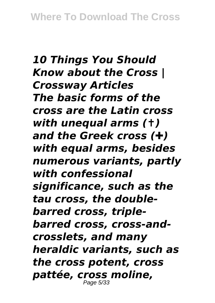*10 Things You Should Know about the Cross | Crossway Articles The basic forms of the cross are the Latin cross with unequal arms (✝) and the Greek cross (✚) with equal arms, besides numerous variants, partly with confessional significance, such as the tau cross, the doublebarred cross, triplebarred cross, cross-andcrosslets, and many heraldic variants, such as the cross potent, cross pattée, cross moline,* Page 5/33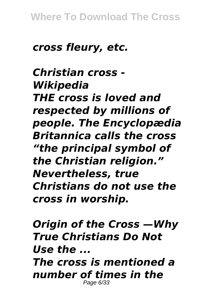#### *cross fleury, etc.*

*Christian cross - Wikipedia THE cross is loved and respected by millions of people. The Encyclopædia Britannica calls the cross "the principal symbol of the Christian religion." Nevertheless, true Christians do not use the cross in worship.*

*Origin of the Cross —Why True Christians Do Not Use the ... The cross is mentioned a number of times in the* Page 6/33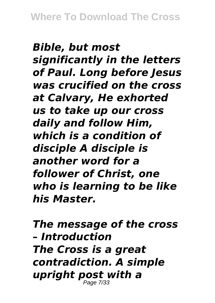*Bible, but most significantly in the letters of Paul. Long before Jesus was crucified on the cross at Calvary, He exhorted us to take up our cross daily and follow Him, which is a condition of disciple A disciple is another word for a follower of Christ, one who is learning to be like his Master.*

*The message of the cross – Introduction The Cross is a great contradiction. A simple upright post with a* Page 7/33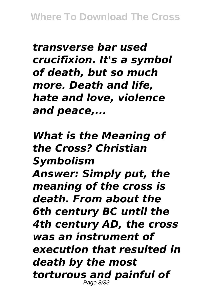*transverse bar used crucifixion. It's a symbol of death, but so much more. Death and life, hate and love, violence and peace,...*

*What is the Meaning of the Cross? Christian Symbolism Answer: Simply put, the meaning of the cross is death. From about the 6th century BC until the 4th century AD, the cross was an instrument of execution that resulted in death by the most torturous and painful of* Page 8/33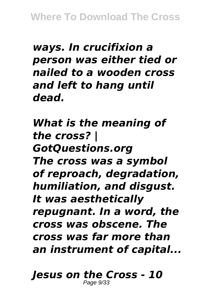*ways. In crucifixion a person was either tied or nailed to a wooden cross and left to hang until dead.*

*What is the meaning of the cross? | GotQuestions.org The cross was a symbol of reproach, degradation, humiliation, and disgust. It was aesthetically repugnant. In a word, the cross was obscene. The cross was far more than an instrument of capital...*

*Jesus on the Cross - 10* Page 9/33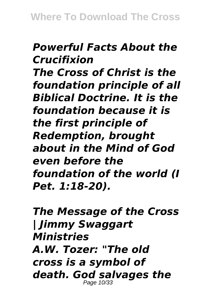#### *Powerful Facts About the Crucifixion*

*The Cross of Christ is the foundation principle of all Biblical Doctrine. It is the foundation because it is the first principle of Redemption, brought about in the Mind of God even before the foundation of the world (I Pet. 1:18-20).*

*The Message of the Cross | Jimmy Swaggart Ministries A.W. Tozer: "The old cross is a symbol of death. God salvages the* Page 10/33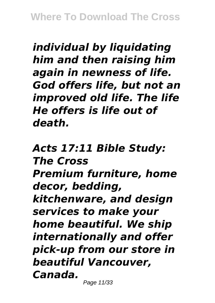*individual by liquidating him and then raising him again in newness of life. God offers life, but not an improved old life. The life He offers is life out of death.*

*Acts 17:11 Bible Study: The Cross Premium furniture, home decor, bedding, kitchenware, and design services to make your home beautiful. We ship internationally and offer pick-up from our store in beautiful Vancouver, Canada.*

Page 11/33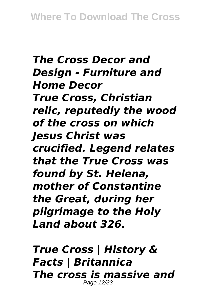*The Cross Decor and Design - Furniture and Home Decor True Cross, Christian relic, reputedly the wood of the cross on which Jesus Christ was crucified. Legend relates that the True Cross was found by St. Helena, mother of Constantine the Great, during her pilgrimage to the Holy Land about 326.*

*True Cross | History & Facts | Britannica The cross is massive and* Page 12/33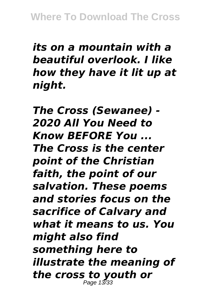## *its on a mountain with a beautiful overlook. I like how they have it lit up at night.*

*The Cross (Sewanee) - 2020 All You Need to Know BEFORE You ... The Cross is the center point of the Christian faith, the point of our salvation. These poems and stories focus on the sacrifice of Calvary and what it means to us. You might also find something here to illustrate the meaning of the cross to youth or* Page 13/33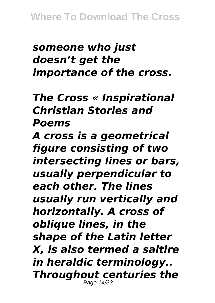## *someone who just doesn't get the importance of the cross.*

*The Cross « Inspirational Christian Stories and Poems*

*A cross is a geometrical figure consisting of two intersecting lines or bars, usually perpendicular to each other. The lines usually run vertically and horizontally. A cross of oblique lines, in the shape of the Latin letter X, is also termed a saltire in heraldic terminology.. Throughout centuries the* Page 14/33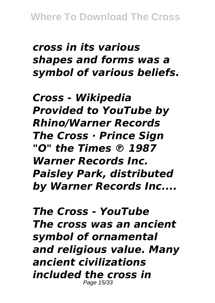### *cross in its various shapes and forms was a symbol of various beliefs.*

*Cross - Wikipedia Provided to YouTube by Rhino/Warner Records The Cross · Prince Sign "O" the Times ℗ 1987 Warner Records Inc. Paisley Park, distributed by Warner Records Inc....*

*The Cross - YouTube The cross was an ancient symbol of ornamental and religious value. Many ancient civilizations included the cross in* Page 15/33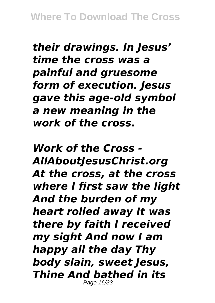*their drawings. In Jesus' time the cross was a painful and gruesome form of execution. Jesus gave this age-old symbol a new meaning in the work of the cross.*

*Work of the Cross - AllAboutJesusChrist.org At the cross, at the cross where I first saw the light And the burden of my heart rolled away It was there by faith I received my sight And now I am happy all the day Thy body slain, sweet Jesus, Thine And bathed in its* Page 16/33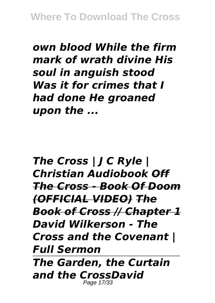*own blood While the firm mark of wrath divine His soul in anguish stood Was it for crimes that I had done He groaned upon the ...*

*The Cross | J C Ryle | Christian Audiobook Off The Cross - Book Of Doom (OFFICIAL VIDEO) The Book of Cross // Chapter 1 David Wilkerson - The Cross and the Covenant | Full Sermon The Garden, the Curtain and the CrossDavid* Page 17/33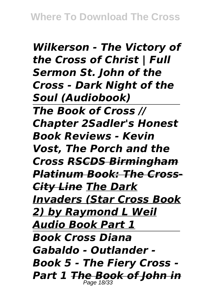*Wilkerson - The Victory of the Cross of Christ | Full Sermon St. John of the Cross - Dark Night of the Soul (Audiobook) The Book of Cross // Chapter 2Sadler's Honest Book Reviews - Kevin Vost, The Porch and the Cross RSCDS Birmingham Platinum Book: The Cross-City Line The Dark Invaders (Star Cross Book 2) by Raymond L Weil Audio Book Part 1 Book Cross Diana Gabaldo - Outlander - Book 5 - The Fiery Cross - Part 1 The Book of John in* Page 18/33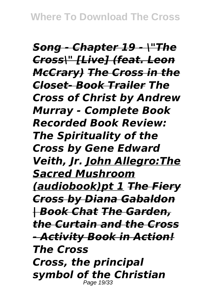*Song - Chapter 19 - \"The Cross\" [Live] (feat. Leon McCrary) The Cross in the Closet- Book Trailer The Cross of Christ by Andrew Murray - Complete Book Recorded Book Review: The Spirituality of the Cross by Gene Edward Veith, Jr. John Allegro:The Sacred Mushroom (audiobook)pt 1 The Fiery Cross by Diana Gabaldon | Book Chat The Garden, the Curtain and the Cross - Activity Book in Action! The Cross Cross, the principal symbol of the Christian* Page 19/33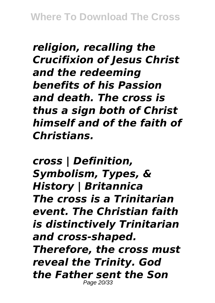*religion, recalling the Crucifixion of Jesus Christ and the redeeming benefits of his Passion and death. The cross is thus a sign both of Christ himself and of the faith of Christians.*

*cross | Definition, Symbolism, Types, & History | Britannica The cross is a Trinitarian event. The Christian faith is distinctively Trinitarian and cross-shaped. Therefore, the cross must reveal the Trinity. God the Father sent the Son* Page 20/33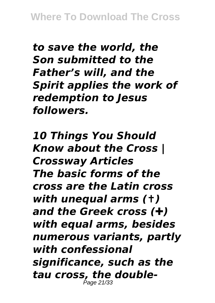*to save the world, the Son submitted to the Father's will, and the Spirit applies the work of redemption to Jesus followers.*

*10 Things You Should Know about the Cross | Crossway Articles The basic forms of the cross are the Latin cross with unequal arms (✝) and the Greek cross (✚) with equal arms, besides numerous variants, partly with confessional significance, such as the tau cross, the double-*Page 21/33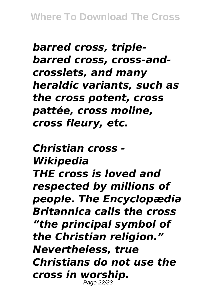*barred cross, triplebarred cross, cross-andcrosslets, and many heraldic variants, such as the cross potent, cross pattée, cross moline, cross fleury, etc.*

*Christian cross - Wikipedia THE cross is loved and respected by millions of people. The Encyclopædia Britannica calls the cross "the principal symbol of the Christian religion." Nevertheless, true Christians do not use the cross in worship.* Page 22/33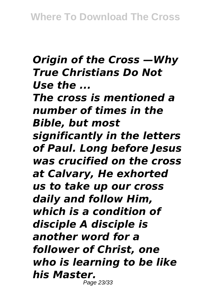## *Origin of the Cross —Why True Christians Do Not Use the ...*

*The cross is mentioned a number of times in the Bible, but most significantly in the letters of Paul. Long before Jesus was crucified on the cross at Calvary, He exhorted us to take up our cross daily and follow Him, which is a condition of disciple A disciple is another word for a follower of Christ, one who is learning to be like his Master.* Page 23/33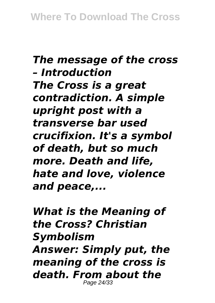## *The message of the cross – Introduction The Cross is a great contradiction. A simple upright post with a transverse bar used crucifixion. It's a symbol of death, but so much more. Death and life, hate and love, violence and peace,...*

*What is the Meaning of the Cross? Christian Symbolism Answer: Simply put, the meaning of the cross is death. From about the* Page 24/33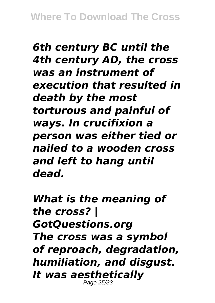*6th century BC until the 4th century AD, the cross was an instrument of execution that resulted in death by the most torturous and painful of ways. In crucifixion a person was either tied or nailed to a wooden cross and left to hang until dead.*

*What is the meaning of the cross? | GotQuestions.org The cross was a symbol of reproach, degradation, humiliation, and disgust. It was aesthetically* Page 25/33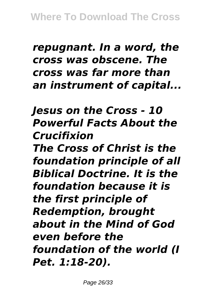#### *repugnant. In a word, the cross was obscene. The cross was far more than an instrument of capital...*

## *Jesus on the Cross - 10 Powerful Facts About the Crucifixion*

*The Cross of Christ is the foundation principle of all Biblical Doctrine. It is the foundation because it is the first principle of Redemption, brought about in the Mind of God even before the foundation of the world (I Pet. 1:18-20).*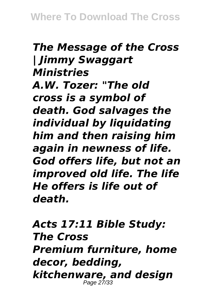## *The Message of the Cross | Jimmy Swaggart Ministries A.W. Tozer: "The old cross is a symbol of death. God salvages the individual by liquidating him and then raising him again in newness of life. God offers life, but not an improved old life. The life He offers is life out of death.*

*Acts 17:11 Bible Study: The Cross Premium furniture, home decor, bedding, kitchenware, and design* Page 27/33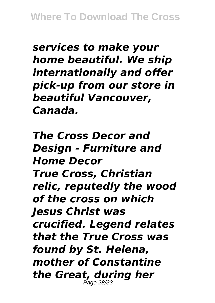*services to make your home beautiful. We ship internationally and offer pick-up from our store in beautiful Vancouver, Canada.*

*The Cross Decor and Design - Furniture and Home Decor True Cross, Christian relic, reputedly the wood of the cross on which Jesus Christ was crucified. Legend relates that the True Cross was found by St. Helena, mother of Constantine the Great, during her* Page 28/33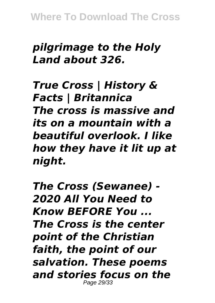**Where To Download The Cross**

#### *pilgrimage to the Holy Land about 326.*

*True Cross | History & Facts | Britannica The cross is massive and its on a mountain with a beautiful overlook. I like how they have it lit up at night.*

*The Cross (Sewanee) - 2020 All You Need to Know BEFORE You ... The Cross is the center point of the Christian faith, the point of our salvation. These poems and stories focus on the* Page 29/33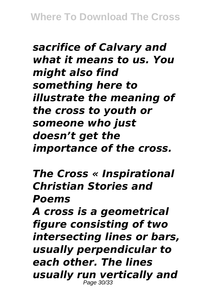*sacrifice of Calvary and what it means to us. You might also find something here to illustrate the meaning of the cross to youth or someone who just doesn't get the importance of the cross.*

*The Cross « Inspirational Christian Stories and Poems*

*A cross is a geometrical figure consisting of two intersecting lines or bars, usually perpendicular to each other. The lines usually run vertically and* Page 30/33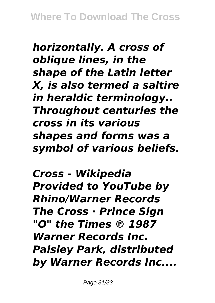*horizontally. A cross of oblique lines, in the shape of the Latin letter X, is also termed a saltire in heraldic terminology.. Throughout centuries the cross in its various shapes and forms was a symbol of various beliefs.*

*Cross - Wikipedia Provided to YouTube by Rhino/Warner Records The Cross · Prince Sign "O" the Times ℗ 1987 Warner Records Inc. Paisley Park, distributed by Warner Records Inc....*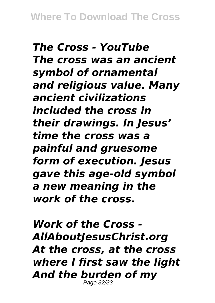*The Cross - YouTube The cross was an ancient symbol of ornamental and religious value. Many ancient civilizations included the cross in their drawings. In Jesus' time the cross was a painful and gruesome form of execution. Jesus gave this age-old symbol a new meaning in the work of the cross.*

*Work of the Cross - AllAboutJesusChrist.org At the cross, at the cross where I first saw the light And the burden of my* Page 32/33